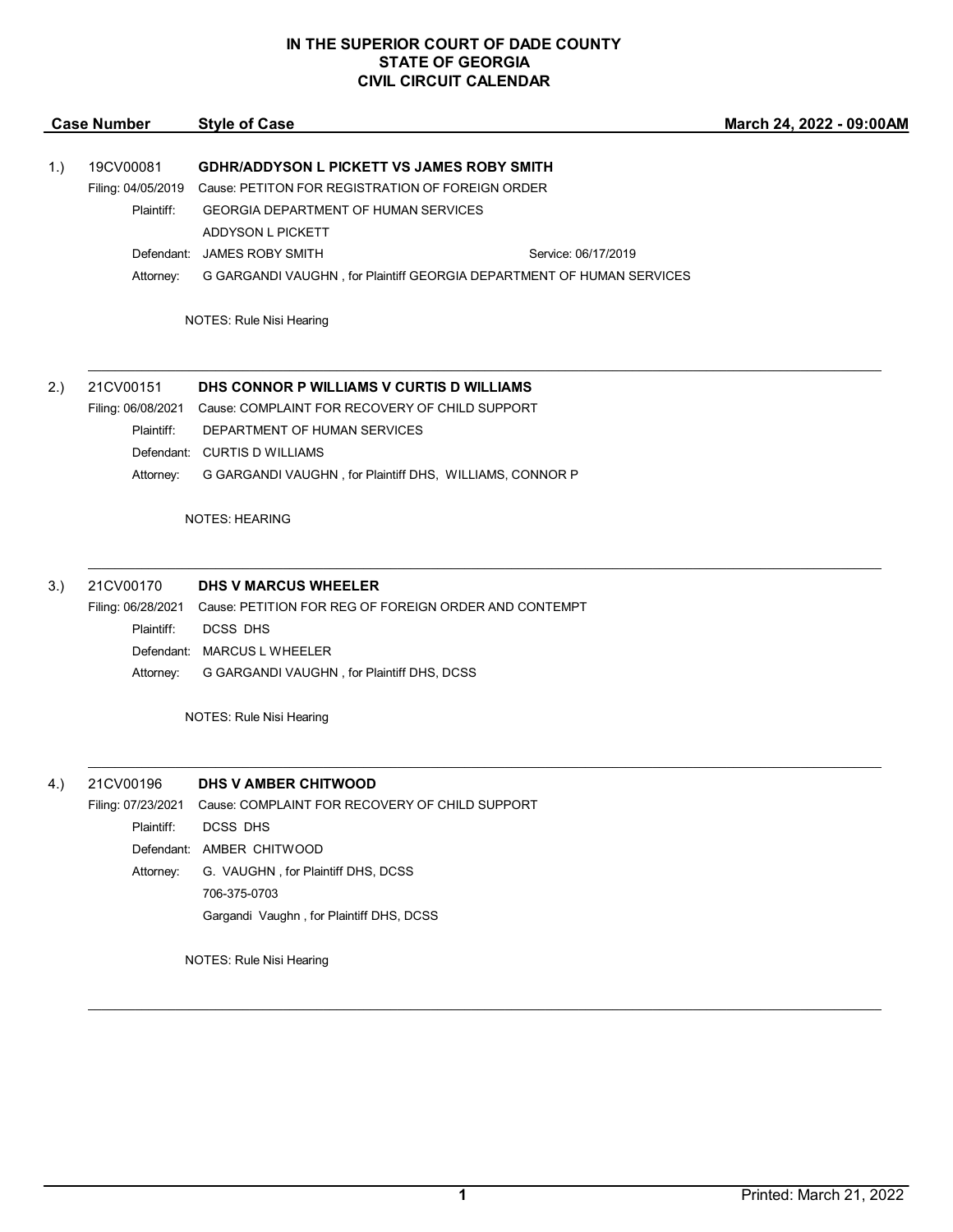| <b>Case Number</b>       |                                                        | <b>Style of Case</b>                                                  | March 24, 2022 - 09:00A |
|--------------------------|--------------------------------------------------------|-----------------------------------------------------------------------|-------------------------|
|                          |                                                        |                                                                       |                         |
| 1.)                      | 19CV00081                                              | <b>GDHR/ADDYSON L PICKETT VS JAMES ROBY SMITH</b>                     |                         |
|                          | Filing: 04/05/2019                                     | Cause: PETITON FOR REGISTRATION OF FOREIGN ORDER                      |                         |
|                          | Plaintiff:                                             | <b>GEORGIA DEPARTMENT OF HUMAN SERVICES</b>                           |                         |
|                          |                                                        | <b>ADDYSON L PICKETT</b>                                              |                         |
|                          | Defendant:                                             | <b>JAMES ROBY SMITH</b><br>Service: 06/17/2019                        |                         |
|                          | Attorney:                                              | G GARGANDI VAUGHN, for Plaintiff GEORGIA DEPARTMENT OF HUMAN SERVICES |                         |
| NOTES: Rule Nisi Hearing |                                                        |                                                                       |                         |
| 2.)                      | 21CV00151<br>DHS CONNOR P WILLIAMS V CURTIS D WILLIAMS |                                                                       |                         |
|                          | Filing: 06/08/2021                                     | Cause: COMPLAINT FOR RECOVERY OF CHILD SUPPORT                        |                         |
|                          | Plaintiff:                                             | DEPARTMENT OF HUMAN SERVICES                                          |                         |
|                          | Defendant:                                             | <b>CURTIS D WILLIAMS</b>                                              |                         |
|                          | Attorney:                                              | G GARGANDI VAUGHN, for Plaintiff DHS, WILLIAMS, CONNOR P              |                         |
|                          |                                                        | <b>NOTES: HEARING</b>                                                 |                         |
| 3.)                      | 21CV00170                                              | <b>DHS V MARCUS WHEELER</b>                                           |                         |

 $\mathcal{L}_\mathcal{L} = \mathcal{L}_\mathcal{L} = \mathcal{L}_\mathcal{L} = \mathcal{L}_\mathcal{L} = \mathcal{L}_\mathcal{L} = \mathcal{L}_\mathcal{L} = \mathcal{L}_\mathcal{L} = \mathcal{L}_\mathcal{L} = \mathcal{L}_\mathcal{L} = \mathcal{L}_\mathcal{L} = \mathcal{L}_\mathcal{L} = \mathcal{L}_\mathcal{L} = \mathcal{L}_\mathcal{L} = \mathcal{L}_\mathcal{L} = \mathcal{L}_\mathcal{L} = \mathcal{L}_\mathcal{L} = \mathcal{L}_\mathcal{L}$ 

 $\mathcal{L}_\mathcal{L} = \mathcal{L}_\mathcal{L} = \mathcal{L}_\mathcal{L} = \mathcal{L}_\mathcal{L} = \mathcal{L}_\mathcal{L} = \mathcal{L}_\mathcal{L} = \mathcal{L}_\mathcal{L} = \mathcal{L}_\mathcal{L} = \mathcal{L}_\mathcal{L} = \mathcal{L}_\mathcal{L} = \mathcal{L}_\mathcal{L} = \mathcal{L}_\mathcal{L} = \mathcal{L}_\mathcal{L} = \mathcal{L}_\mathcal{L} = \mathcal{L}_\mathcal{L} = \mathcal{L}_\mathcal{L} = \mathcal{L}_\mathcal{L}$ 

Filing: 06/28/2021 Cause: PETITION FOR REG OF FOREIGN ORDER AND CONTEMPT Plaintiff: DCSS DHS Defendant: MARCUS L WHEELER Attorney: G GARGANDI VAUGHN , for Plaintiff DHS, DCSS

NOTES: Rule Nisi Hearing

#### 4.) 21CV00196 **DHS V AMBER CHITWOOD**

Filing: 07/23/2021 Cause: COMPLAINT FOR RECOVERY OF CHILD SUPPORT Plaintiff: DCSS DHS Defendant: AMBER CHITWOOD Attorney: G. VAUGHN , for Plaintiff DHS, DCSS 706-375-0703 Gargandi Vaughn , for Plaintiff DHS, DCSS

NOTES: Rule Nisi Hearing

**March 24, 2022 - 09:00AM**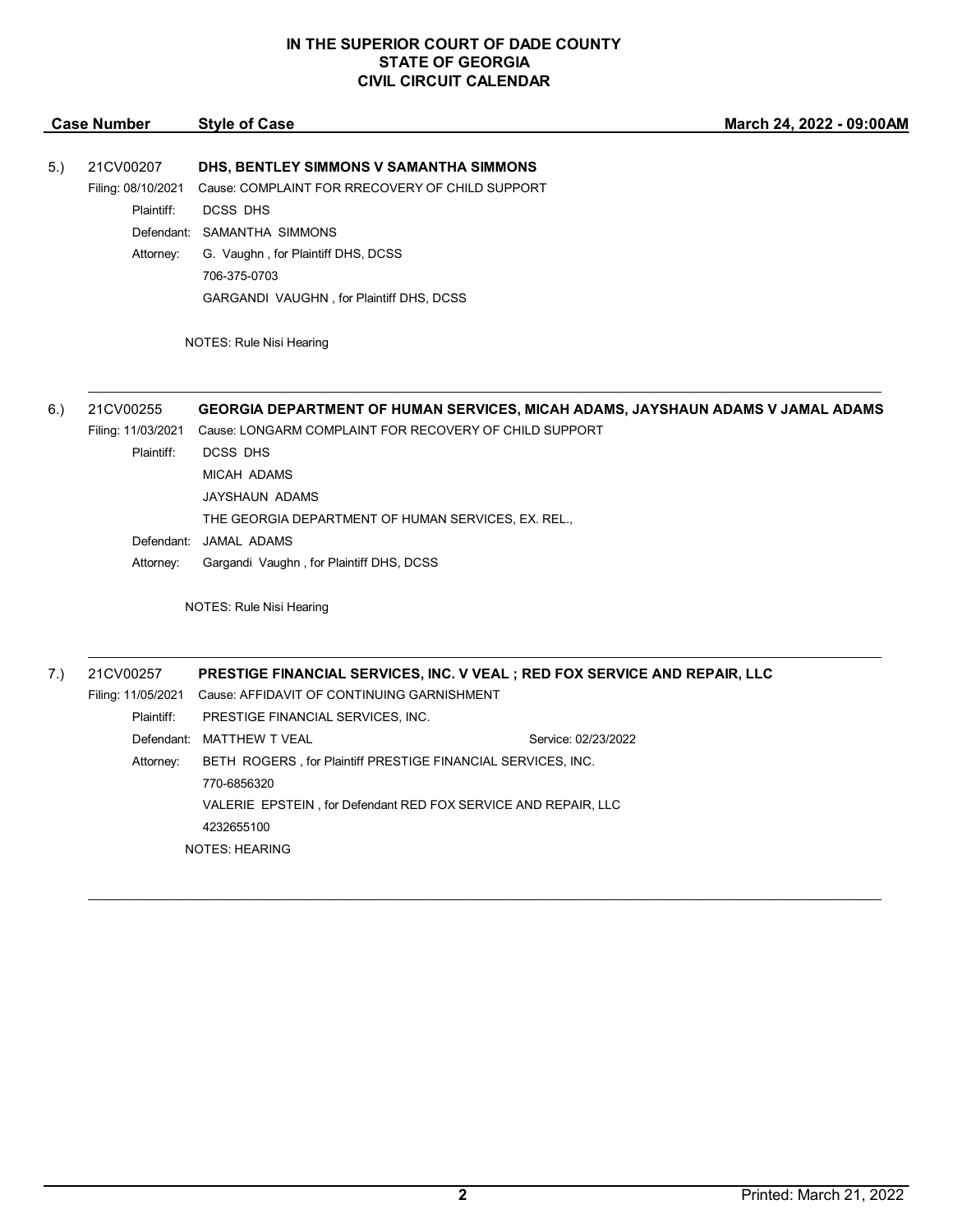|     | <b>Case Number</b> | <b>Style of Case</b>                                                            | March 24, 2022 - 09:00AM |  |  |
|-----|--------------------|---------------------------------------------------------------------------------|--------------------------|--|--|
| 5.) | 21CV00207          | DHS, BENTLEY SIMMONS V SAMANTHA SIMMONS                                         |                          |  |  |
|     | Filing: 08/10/2021 | Cause: COMPLAINT FOR RRECOVERY OF CHILD SUPPORT                                 |                          |  |  |
|     | Plaintiff:         | <b>DCSS DHS</b>                                                                 |                          |  |  |
|     |                    | Defendant: SAMANTHA SIMMONS                                                     |                          |  |  |
|     | Attorney:          | G. Vaughn, for Plaintiff DHS, DCSS                                              |                          |  |  |
|     |                    | 706-375-0703                                                                    |                          |  |  |
|     |                    | GARGANDI VAUGHN, for Plaintiff DHS, DCSS                                        |                          |  |  |
|     |                    | NOTES: Rule Nisi Hearing                                                        |                          |  |  |
|     |                    |                                                                                 |                          |  |  |
| 6.) | 21CV00255          | GEORGIA DEPARTMENT OF HUMAN SERVICES, MICAH ADAMS, JAYSHAUN ADAMS V JAMAL ADAMS |                          |  |  |
|     | Filing: 11/03/2021 | Cause: LONGARM COMPLAINT FOR RECOVERY OF CHILD SUPPORT                          |                          |  |  |
|     | Plaintiff:         | <b>DCSS DHS</b>                                                                 |                          |  |  |
|     |                    | <b>MICAH ADAMS</b>                                                              |                          |  |  |
|     |                    | JAYSHAUN ADAMS                                                                  |                          |  |  |
|     |                    | THE GEORGIA DEPARTMENT OF HUMAN SERVICES, EX. REL.,                             |                          |  |  |
|     |                    | Defendant: JAMAL ADAMS                                                          |                          |  |  |
|     | Attorney:          | Gargandi Vaughn, for Plaintiff DHS, DCSS                                        |                          |  |  |
|     |                    | NOTES: Rule Nisi Hearing                                                        |                          |  |  |
| 7.) | 21CV00257          | PRESTIGE FINANCIAL SERVICES, INC. V VEAL ; RED FOX SERVICE AND REPAIR, LLC      |                          |  |  |
|     |                    | Filing: 11/05/2021 Cause: AFFIDAVIT OF CONTINUING GARNISHMENT                   |                          |  |  |
|     | Plaintiff:         | PRESTIGE FINANCIAL SERVICES, INC.                                               |                          |  |  |
|     |                    | Defendant: MATTHEW T VEAL                                                       | Service: 02/23/2022      |  |  |
|     | Attorney:          | BETH ROGERS, for Plaintiff PRESTIGE FINANCIAL SERVICES, INC.                    |                          |  |  |
|     |                    | 770-6856320                                                                     |                          |  |  |
|     |                    | VALERIE EPSTEIN, for Defendant RED FOX SERVICE AND REPAIR, LLC                  |                          |  |  |
|     |                    | 4232655100                                                                      |                          |  |  |

NOTES: HEARING

 $\mathcal{L}_\mathcal{L} = \mathcal{L}_\mathcal{L} = \mathcal{L}_\mathcal{L} = \mathcal{L}_\mathcal{L} = \mathcal{L}_\mathcal{L} = \mathcal{L}_\mathcal{L} = \mathcal{L}_\mathcal{L} = \mathcal{L}_\mathcal{L} = \mathcal{L}_\mathcal{L} = \mathcal{L}_\mathcal{L} = \mathcal{L}_\mathcal{L} = \mathcal{L}_\mathcal{L} = \mathcal{L}_\mathcal{L} = \mathcal{L}_\mathcal{L} = \mathcal{L}_\mathcal{L} = \mathcal{L}_\mathcal{L} = \mathcal{L}_\mathcal{L}$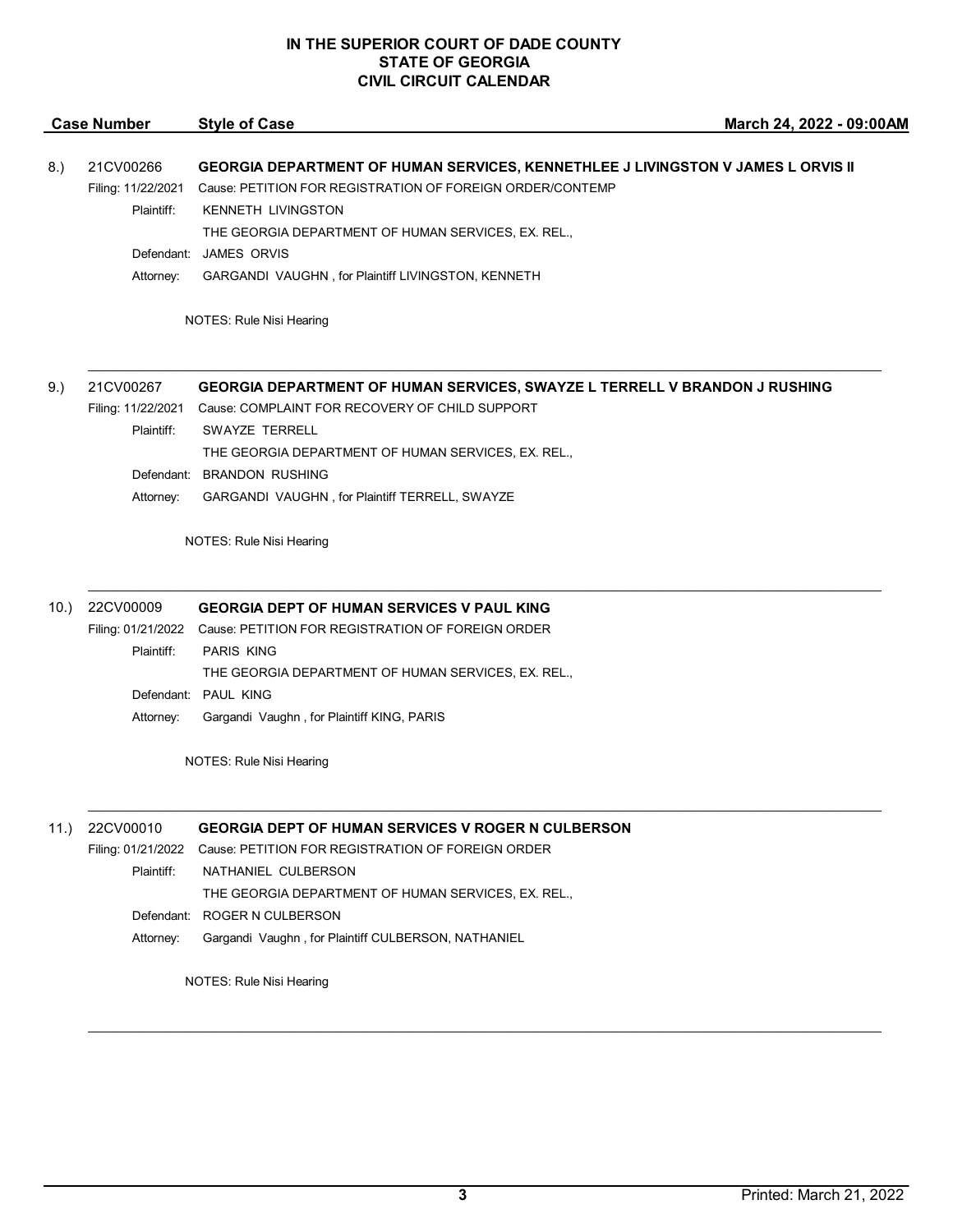|      | <b>Case Number</b> | <b>Style of Case</b>                                                             | March 24, 2022 - 09:00AM |
|------|--------------------|----------------------------------------------------------------------------------|--------------------------|
| 8.)  | 21CV00266          | GEORGIA DEPARTMENT OF HUMAN SERVICES, KENNETHLEE J LIVINGSTON V JAMES L ORVIS II |                          |
|      | Filing: 11/22/2021 | Cause: PETITION FOR REGISTRATION OF FOREIGN ORDER/CONTEMP                        |                          |
|      | Plaintiff:         | <b>KENNETH LIVINGSTON</b>                                                        |                          |
|      |                    | THE GEORGIA DEPARTMENT OF HUMAN SERVICES, EX. REL.,                              |                          |
|      |                    | Defendant: JAMES ORVIS                                                           |                          |
|      | Attorney:          | GARGANDI VAUGHN, for Plaintiff LIVINGSTON, KENNETH                               |                          |
|      |                    |                                                                                  |                          |
|      |                    | NOTES: Rule Nisi Hearing                                                         |                          |
| 9.)  | 21CV00267          | GEORGIA DEPARTMENT OF HUMAN SERVICES, SWAYZE L TERRELL V BRANDON J RUSHING       |                          |
|      | Filing: 11/22/2021 | Cause: COMPLAINT FOR RECOVERY OF CHILD SUPPORT                                   |                          |
|      | Plaintiff:         | <b>SWAYZE TERRELL</b>                                                            |                          |
|      |                    | THE GEORGIA DEPARTMENT OF HUMAN SERVICES, EX. REL.,                              |                          |
|      |                    | Defendant: BRANDON RUSHING                                                       |                          |
|      | Attorney:          | GARGANDI VAUGHN, for Plaintiff TERRELL, SWAYZE                                   |                          |
|      |                    | NOTES: Rule Nisi Hearing                                                         |                          |
|      |                    |                                                                                  |                          |
| 10.) | 22CV00009          | <b>GEORGIA DEPT OF HUMAN SERVICES V PAUL KING</b>                                |                          |
|      |                    | Filing: 01/21/2022 Cause: PETITION FOR REGISTRATION OF FOREIGN ORDER             |                          |
|      | Plaintiff:         | <b>PARIS KING</b>                                                                |                          |
|      |                    | THE GEORGIA DEPARTMENT OF HUMAN SERVICES, EX. REL.,<br>Defendant: PAUL KING      |                          |
|      | Attorney:          | Gargandi Vaughn, for Plaintiff KING, PARIS                                       |                          |
|      |                    |                                                                                  |                          |
|      |                    | NOTES: Rule Nisi Hearing                                                         |                          |
|      |                    |                                                                                  |                          |
| 11.) | 22CV00010          | <b>GEORGIA DEPT OF HUMAN SERVICES V ROGER N CULBERSON</b>                        |                          |
|      | Filing: 01/21/2022 | Cause: PETITION FOR REGISTRATION OF FOREIGN ORDER                                |                          |
|      | Plaintiff:         | NATHANIEL CULBERSON                                                              |                          |
|      |                    | THE GEORGIA DEPARTMENT OF HUMAN SERVICES, EX. REL.,                              |                          |
|      | Defendant:         | ROGER N CULBERSON                                                                |                          |
|      | Attorney:          | Gargandi Vaughn, for Plaintiff CULBERSON, NATHANIEL                              |                          |

NOTES: Rule Nisi Hearing

\_\_\_\_\_\_\_\_\_\_\_\_\_\_\_\_\_\_\_\_\_\_\_\_\_\_\_\_\_\_\_\_\_\_\_\_\_\_\_\_\_\_\_\_\_\_\_\_\_\_\_\_\_\_\_\_\_\_\_\_\_\_\_\_\_\_\_\_\_\_\_\_\_\_\_\_\_\_\_\_\_\_\_\_\_\_\_\_\_\_\_\_\_\_\_\_\_\_\_\_\_\_\_\_\_\_\_\_\_\_\_\_\_\_\_\_\_\_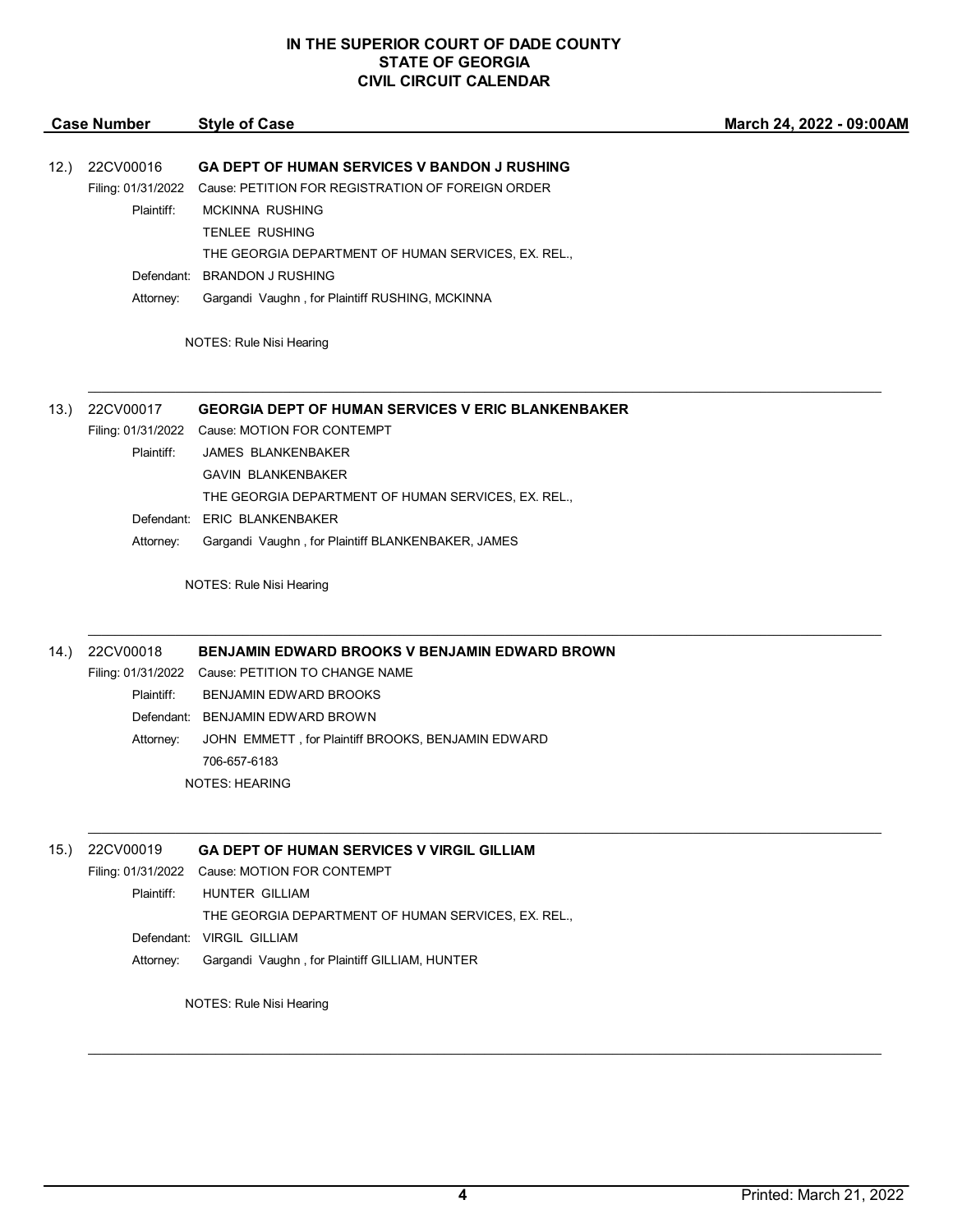| <b>Case Number</b> |                    | <b>Style of Case</b>                                      | March 24, 2022 - 09:00AM |
|--------------------|--------------------|-----------------------------------------------------------|--------------------------|
|                    |                    |                                                           |                          |
| 12.)               | 22CV00016          | GA DEPT OF HUMAN SERVICES V BANDON J RUSHING              |                          |
|                    | Filing: 01/31/2022 | Cause: PETITION FOR REGISTRATION OF FOREIGN ORDER         |                          |
|                    | Plaintiff:         | <b>MCKINNA RUSHING</b>                                    |                          |
|                    |                    | <b>TENLEE RUSHING</b>                                     |                          |
|                    |                    | THE GEORGIA DEPARTMENT OF HUMAN SERVICES, EX. REL.,       |                          |
|                    | Defendant:         | <b>BRANDON J RUSHING</b>                                  |                          |
|                    | Attorney:          | Gargandi Vaughn, for Plaintiff RUSHING, MCKINNA           |                          |
|                    |                    | NOTES: Rule Nisi Hearing                                  |                          |
| 13.                | 22CV00017          | <b>GEORGIA DEPT OF HUMAN SERVICES V ERIC BLANKENBAKER</b> |                          |
|                    |                    | Filing: 01/31/2022 Cause: MOTION FOR CONTEMPT             |                          |
|                    | Plaintiff:         | <b>JAMES BLANKENBAKER</b>                                 |                          |
|                    |                    | <b>GAVIN BLANKENBAKER</b>                                 |                          |
|                    |                    | THE GEORGIA DEPARTMENT OF HUMAN SERVICES, EX. REL.,       |                          |
|                    |                    | Defendant: ERIC BLANKENBAKER                              |                          |
|                    | Attorney:          | Gargandi Vaughn, for Plaintiff BLANKENBAKER, JAMES        |                          |
|                    |                    | NOTES: Rule Nisi Hearing                                  |                          |
| 14.                | 22CV00018          | <b>BENJAMIN EDWARD BROOKS V BENJAMIN EDWARD BROWN</b>     |                          |
|                    |                    | Filing: 01/31/2022 Cause: PETITION TO CHANGE NAME         |                          |
|                    | Plaintiff:         | BENJAMIN EDWARD BROOKS                                    |                          |
|                    |                    | Defendant: BENJAMIN EDWARD BROWN                          |                          |
|                    | Attorney:          | JOHN EMMETT, for Plaintiff BROOKS, BENJAMIN EDWARD        |                          |
|                    |                    | 706-657-6183                                              |                          |
|                    |                    | <b>NOTES: HEARING</b>                                     |                          |
|                    |                    |                                                           |                          |
| 15.                | 22CV00019          | <b>GA DEPT OF HUMAN SERVICES V VIRGIL GILLIAM</b>         |                          |

Filing: 01/31/2022 Cause: MOTION FOR CONTEMPT Plaintiff: HUNTER GILLIAM THE GEORGIA DEPARTMENT OF HUMAN SERVICES, EX. REL., Defendant: VIRGIL GILLIAM Attorney: Gargandi Vaughn , for Plaintiff GILLIAM, HUNTER

NOTES: Rule Nisi Hearing

 $\mathcal{L}_\mathcal{L} = \mathcal{L}_\mathcal{L} = \mathcal{L}_\mathcal{L} = \mathcal{L}_\mathcal{L} = \mathcal{L}_\mathcal{L} = \mathcal{L}_\mathcal{L} = \mathcal{L}_\mathcal{L} = \mathcal{L}_\mathcal{L} = \mathcal{L}_\mathcal{L} = \mathcal{L}_\mathcal{L} = \mathcal{L}_\mathcal{L} = \mathcal{L}_\mathcal{L} = \mathcal{L}_\mathcal{L} = \mathcal{L}_\mathcal{L} = \mathcal{L}_\mathcal{L} = \mathcal{L}_\mathcal{L} = \mathcal{L}_\mathcal{L}$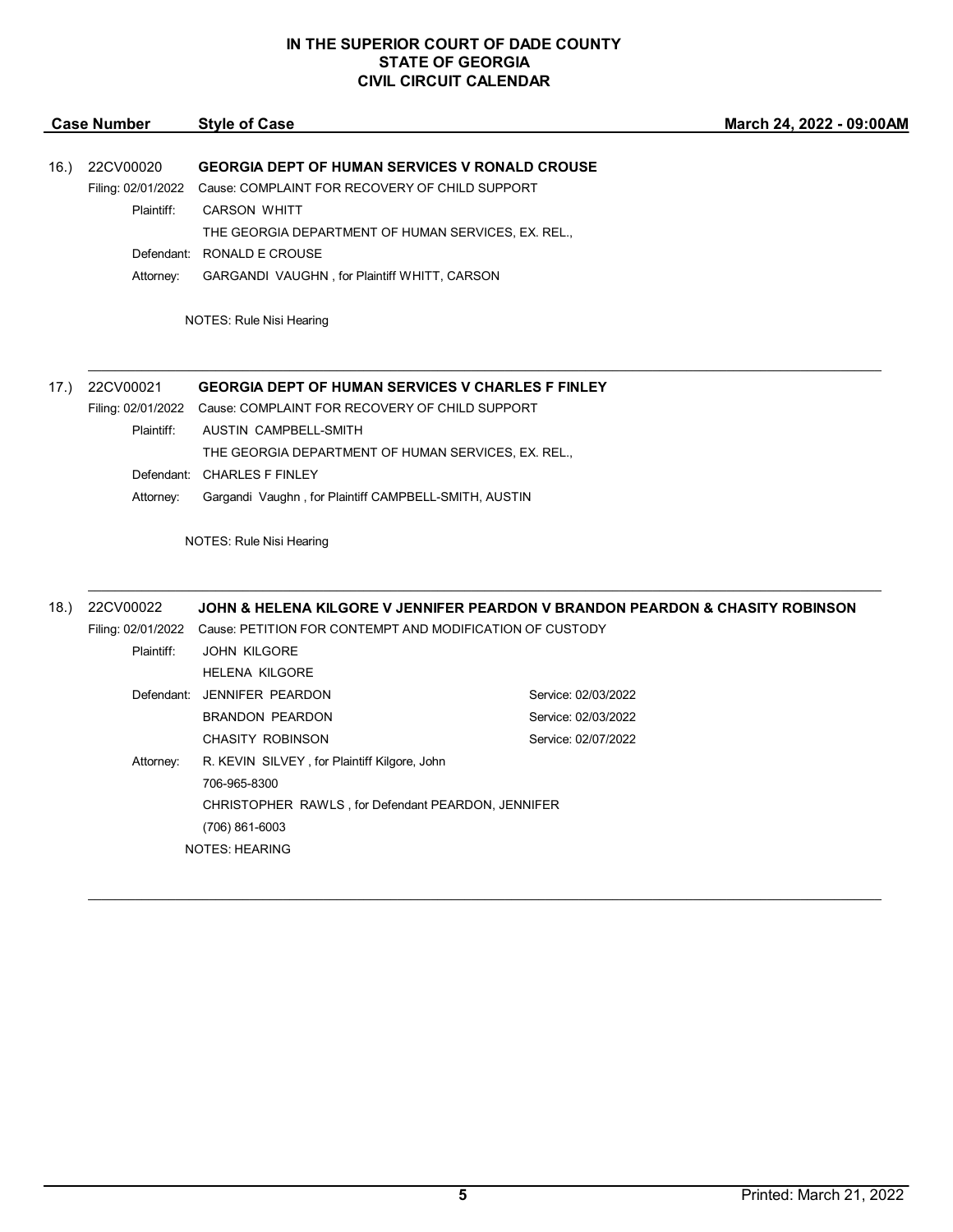| <b>Case Number</b> |                    | <b>Style of Case</b>                                                        | March 24, 2022 - 09:00AM                                                      |  |
|--------------------|--------------------|-----------------------------------------------------------------------------|-------------------------------------------------------------------------------|--|
| 16.)               | 22CV00020          | <b>GEORGIA DEPT OF HUMAN SERVICES V RONALD CROUSE</b>                       |                                                                               |  |
|                    | Filing: 02/01/2022 | Cause: COMPLAINT FOR RECOVERY OF CHILD SUPPORT                              |                                                                               |  |
|                    | Plaintiff:         | <b>CARSON WHITT</b>                                                         |                                                                               |  |
|                    |                    | THE GEORGIA DEPARTMENT OF HUMAN SERVICES, EX. REL.,                         |                                                                               |  |
|                    |                    | Defendant: RONALD E CROUSE                                                  |                                                                               |  |
|                    | Attorney:          | GARGANDI VAUGHN, for Plaintiff WHITT, CARSON                                |                                                                               |  |
|                    |                    | NOTES: Rule Nisi Hearing                                                    |                                                                               |  |
| 17.)               | 22CV00021          | <b>GEORGIA DEPT OF HUMAN SERVICES V CHARLES F FINLEY</b>                    |                                                                               |  |
|                    |                    | Filing: 02/01/2022 Cause: COMPLAINT FOR RECOVERY OF CHILD SUPPORT           |                                                                               |  |
|                    | Plaintiff:         | AUSTIN CAMPBELL-SMITH                                                       |                                                                               |  |
|                    |                    | THE GEORGIA DEPARTMENT OF HUMAN SERVICES, EX. REL.,                         |                                                                               |  |
|                    |                    | Defendant: CHARLES F FINLEY                                                 |                                                                               |  |
|                    | Attorney:          | Gargandi Vaughn, for Plaintiff CAMPBELL-SMITH, AUSTIN                       |                                                                               |  |
|                    |                    | NOTES: Rule Nisi Hearing                                                    |                                                                               |  |
| (18.)              | 22CV00022          |                                                                             | JOHN & HELENA KILGORE V JENNIFER PEARDON V BRANDON PEARDON & CHASITY ROBINSON |  |
|                    |                    | Filing: 02/01/2022 Cause: PETITION FOR CONTEMPT AND MODIFICATION OF CUSTODY |                                                                               |  |
|                    | Plaintiff:         | <b>JOHN KILGORE</b>                                                         |                                                                               |  |
|                    |                    | <b>HELENA KILGORE</b>                                                       |                                                                               |  |
|                    |                    | Defendant: JENNIFER PEARDON                                                 | Service: 02/03/2022                                                           |  |
|                    |                    | <b>BRANDON PEARDON</b>                                                      | Service: 02/03/2022                                                           |  |
|                    |                    | <b>CHASITY ROBINSON</b>                                                     | Service: 02/07/2022                                                           |  |
|                    | Attorney:          | R. KEVIN SILVEY, for Plaintiff Kilgore, John                                |                                                                               |  |
|                    |                    | 706-965-8300                                                                |                                                                               |  |
|                    |                    | CHRISTOPHER RAWLS, for Defendant PEARDON, JENNIFER                          |                                                                               |  |
|                    |                    | (706) 861-6003                                                              |                                                                               |  |
|                    |                    |                                                                             |                                                                               |  |

NOTES: HEARING

 $\overline{a}$ 

 $\mathcal{L}_\mathcal{L} = \mathcal{L}_\mathcal{L} = \mathcal{L}_\mathcal{L} = \mathcal{L}_\mathcal{L} = \mathcal{L}_\mathcal{L} = \mathcal{L}_\mathcal{L} = \mathcal{L}_\mathcal{L} = \mathcal{L}_\mathcal{L} = \mathcal{L}_\mathcal{L} = \mathcal{L}_\mathcal{L} = \mathcal{L}_\mathcal{L} = \mathcal{L}_\mathcal{L} = \mathcal{L}_\mathcal{L} = \mathcal{L}_\mathcal{L} = \mathcal{L}_\mathcal{L} = \mathcal{L}_\mathcal{L} = \mathcal{L}_\mathcal{L}$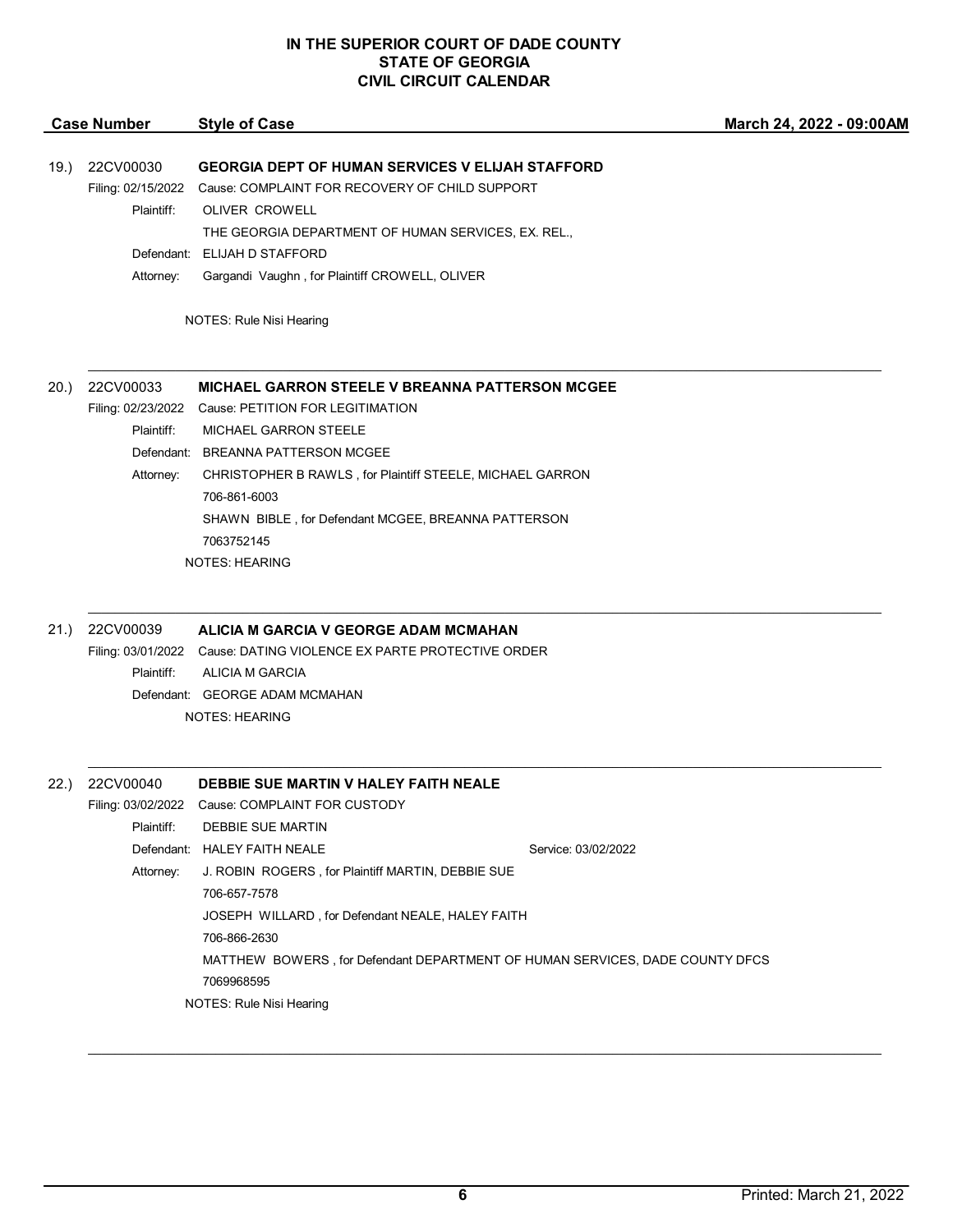| <b>Style of Case</b>                                                                                                                                                                                                                                                                                                         | March 24, 2022 - 09:00AM                                                     |
|------------------------------------------------------------------------------------------------------------------------------------------------------------------------------------------------------------------------------------------------------------------------------------------------------------------------------|------------------------------------------------------------------------------|
| <b>GEORGIA DEPT OF HUMAN SERVICES V ELIJAH STAFFORD</b><br>Filing: 02/15/2022<br>Cause: COMPLAINT FOR RECOVERY OF CHILD SUPPORT<br>Plaintiff:<br><b>OLIVER CROWELL</b><br>THE GEORGIA DEPARTMENT OF HUMAN SERVICES, EX. REL.,<br>Defendant: ELIJAH D STAFFORD<br>Attorney:<br>Gargandi Vaughn, for Plaintiff CROWELL, OLIVER |                                                                              |
| NOTES: Rule Nisi Hearing                                                                                                                                                                                                                                                                                                     |                                                                              |
| <b>MICHAEL GARRON STEELE V BREANNA PATTERSON MCGEE</b>                                                                                                                                                                                                                                                                       |                                                                              |
| Filing: 02/23/2022 Cause: PETITION FOR LEGITIMATION                                                                                                                                                                                                                                                                          |                                                                              |
| Plaintiff:<br><b>MICHAEL GARRON STEELE</b>                                                                                                                                                                                                                                                                                   |                                                                              |
| Defendant: BREANNA PATTERSON MCGEE                                                                                                                                                                                                                                                                                           |                                                                              |
| Attorney:<br>CHRISTOPHER B RAWLS, for Plaintiff STEELE, MICHAEL GARRON                                                                                                                                                                                                                                                       |                                                                              |
| 706-861-6003                                                                                                                                                                                                                                                                                                                 |                                                                              |
| SHAWN BIBLE, for Defendant MCGEE, BREANNA PATTERSON                                                                                                                                                                                                                                                                          |                                                                              |
| 7063752145                                                                                                                                                                                                                                                                                                                   |                                                                              |
| <b>NOTES: HEARING</b>                                                                                                                                                                                                                                                                                                        |                                                                              |
| ALICIA M GARCIA V GEORGE ADAM MCMAHAN                                                                                                                                                                                                                                                                                        |                                                                              |
| Filing: 03/01/2022  Cause: DATING VIOLENCE EX PARTE PROTECTIVE ORDER                                                                                                                                                                                                                                                         |                                                                              |
| Plaintiff:<br>ALICIA M GARCIA                                                                                                                                                                                                                                                                                                |                                                                              |
| Defendant: GEORGE ADAM MCMAHAN                                                                                                                                                                                                                                                                                               |                                                                              |
| NOTES: HEARING                                                                                                                                                                                                                                                                                                               |                                                                              |
| DEBBIE SUE MARTIN V HALEY FAITH NEALE                                                                                                                                                                                                                                                                                        |                                                                              |
| Filing: 03/02/2022 Cause: COMPLAINT FOR CUSTODY                                                                                                                                                                                                                                                                              |                                                                              |
| Plaintiff:<br>DEBBIE SUE MARTIN                                                                                                                                                                                                                                                                                              |                                                                              |
| Defendant: HALEY FAITH NEALE                                                                                                                                                                                                                                                                                                 | Service: 03/02/2022                                                          |
| J. ROBIN ROGERS, for Plaintiff MARTIN, DEBBIE SUE<br>Attorney:                                                                                                                                                                                                                                                               |                                                                              |
| 706-657-7578                                                                                                                                                                                                                                                                                                                 |                                                                              |
| JOSEPH WILLARD, for Defendant NEALE, HALEY FAITH                                                                                                                                                                                                                                                                             |                                                                              |
| 706-866-2630                                                                                                                                                                                                                                                                                                                 |                                                                              |
|                                                                                                                                                                                                                                                                                                                              | MATTHEW BOWERS, for Defendant DEPARTMENT OF HUMAN SERVICES, DADE COUNTY DFCS |
| 7069968595                                                                                                                                                                                                                                                                                                                   |                                                                              |
| NOTES: Rule Nisi Hearing                                                                                                                                                                                                                                                                                                     |                                                                              |
|                                                                                                                                                                                                                                                                                                                              |                                                                              |